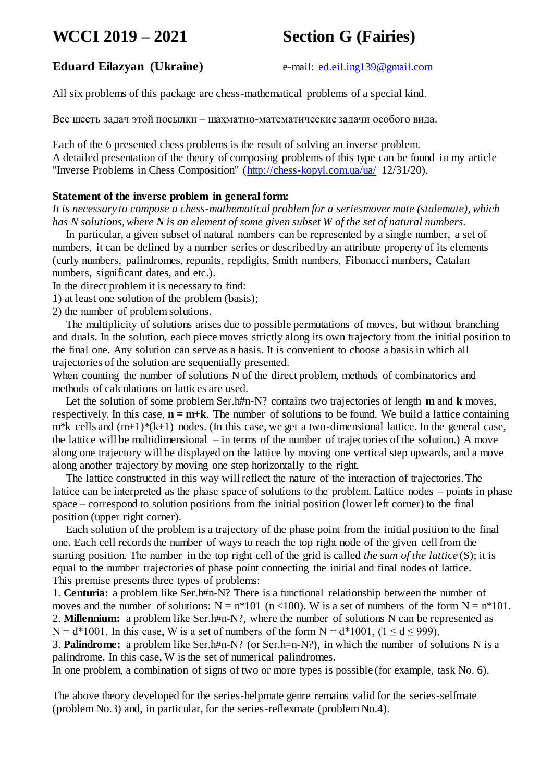# **WCCI 2019 – 2021 Section G (Fairies)**

# **Eduard Eilazyan (Ukraine)** e-mail: [ed.eil.ing139@gmail.com](mailto:ed.eil.ing139@gmail.com)

All six problems of this package are chess-mathematical problems of a special kind.

Все шесть задач этой посылки – шахматно-математические задачи особого вида.

Each of the 6 presented chess problems is the result of solving an inverse problem. A detailed presentation of the theory of composing problems of this type can be found in my article "Inverse Problems in Chess Composition" [\(http://chess-kopyl.com.ua/ua/](http://chess-kopyl.com.ua/ua/) 12/31/20).

#### **Statement of the inverse problem in general form:**

*It is necessary to compose a chess-mathematical problem for a seriesmover mate (stalemate), which has N solutions, where N is an element of some given subset W of the set of natural numbers.*

In particular, a given subset of natural numbers can be represented by a single number, a set of numbers, it can be defined by a number series or described by an attribute property of its elements (curly numbers, palindromes, repunits, repdigits, Smith numbers, Fibonacci numbers, Catalan numbers, significant dates, and etc.).

In the direct problem it is necessary to find:

1) at least one solution of the problem (basis);

2) the number of problem solutions.

The multiplicity of solutions arises due to possible permutations of moves, but without branching and duals. In the solution, each piece moves strictly along its own trajectory from the initial position to the final one. Any solution can serve as a basis. It is convenient to choose a basis in which all trajectories of the solution are sequentially presented.

When counting the number of solutions N of the direct problem, methods of combinatorics and methods of calculations on lattices are used.

Let the solution of some problem Ser.h#n-N? contains two trajectories of length **m** and **k** moves, respectively. In this case, **n = m+k**. The number of solutions to be found. We build a lattice containing  $m*k$  cells and  $(m+1)*(k+1)$  nodes. (In this case, we get a two-dimensional lattice. In the general case, the lattice will be multidimensional – in terms of the number of trajectories of the solution.) A move along one trajectory will be displayed on the lattice by moving one vertical step upwards, and a move along another trajectory by moving one step horizontally to the right.

The lattice constructed in this way will reflect the nature of the interaction of trajectories. The lattice can be interpreted as the phase space of solutions to the problem. Lattice nodes – points in phase space – correspond to solution positions from the initial position (lower left corner) to the final position (upper right corner).

Each solution of the problem is a trajectory of the phase point from the initial position to the final one. Each cell records the number of ways to reach the top right node of the given cell from the starting position. The number in the top right cell of the grid is called *the sum of the lattice* (S); it is equal to the number trajectories of phase point connecting the initial and final nodes of lattice. This premise presents three types of problems:

1. **Centuria:** a problem like Ser.h#n-N? There is a functional relationship between the number of moves and the number of solutions:  $N = n*101$  ( $n < 100$ ). W is a set of numbers of the form  $N = n*101$ . 2. **Millennium:** a problem like Ser.h#n-N?, where the number of solutions N can be represented as N = d\*1001. In this case, W is a set of numbers of the form N = d\*1001,  $(1 \le d \le 999)$ .

3. **Palindrome:** a problem like Ser.h#n-N? (or Ser.h=n-N?), in which the number of solutions N is a palindrome. In this case, W is the set of numerical palindromes.

In one problem, a combination of signs of two or more types is possible (for example, task No. 6).

The above theory developed for the series-helpmate genre remains valid for the series-selfmate (problem No.3) and, in particular, for the series-reflexmate (problem No.4).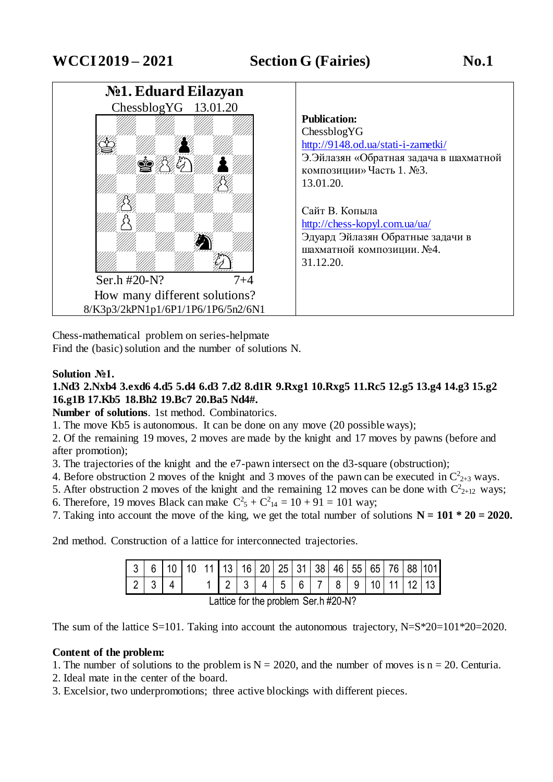

Chess-mathematical problem on series-helpmate Find the (basic) solution and the number of solutions N.

# **Solution №1.**

# **1.Nd3 2.Nxb4 3.exd6 4.d5 5.d4 6.d3 7.d2 8.d1R 9.Rxg1 10.Rxg5 11.Rc5 12.g5 13.g4 14.g3 15.g2 16.g1B 17.Kb5 18.Bh2 19.Bc7 20.Ba5 Nd4#.**

**Number of solutions**. 1st method. Combinatorics.

1. The move Kb5 is autonomous. It can be done on any move (20 possible ways);

2. Of the remaining 19 moves, 2 moves are made by the knight and 17 moves by pawns (before and after promotion);

3. The trajectories of the knight and the e7-pawn intersect on the d3-square (obstruction);

4. Before obstruction 2 moves of the knight and 3 moves of the pawn can be executed in  $C_{2+3}^2$  ways.

- 5. After obstruction 2 moves of the knight and the remaining 12 moves can be done with  $C_{2+12}^2$  ways;
- 6. Therefore, 19 moves Black can make  $C_5^2 + C_{14}^2 = 10 + 91 = 101$  way;
- 7. Taking into account the move of the king, we get the total number of solutions  $N = 101 * 20 = 2020$ .

2nd method. Construction of a lattice for interconnected trajectories.

| 1 2 3 4 5 6 7 8 9 10 11 12 13<br>21 |  |  |  |  |  |  |  |  | 6   10   10   11   13   16   20   25   31   38   46   55   65   76   88  101 |
|-------------------------------------|--|--|--|--|--|--|--|--|------------------------------------------------------------------------------|
|                                     |  |  |  |  |  |  |  |  |                                                                              |

Lattice for the problem Ser.h #20-N?

The sum of the lattice S=101. Taking into account the autonomous trajectory, N=S\*20=101\*20=2020.

#### **Content of the problem:**

- 1. The number of solutions to the problem is  $N = 2020$ , and the number of moves is  $n = 20$ . Centuria.
- 2. Ideal mate in the center of the board.
- 3. Excelsior, two underpromotions; three active blockings with different pieces.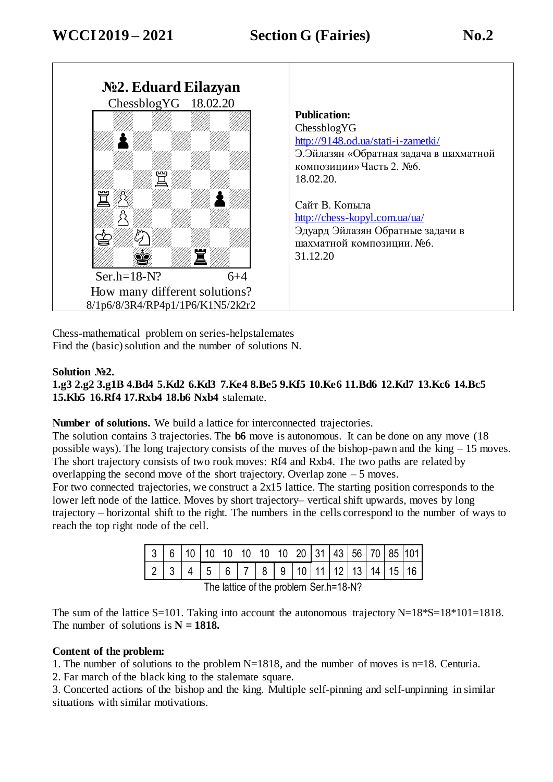

Chess-mathematical problem on series-helpstalemates Find the (basic) solution and the number of solutions N.

#### **Solution №2.**

# **1.g3 2.g2 3.g1B 4.Bd4 5.Kd2 6.Kd3 7.Ke4 8.Be5 9.Kf5 10.Ke6 11.Bd6 12.Kd7 13.Kc6 14.Bc5 15.Kb5 16.Rf4 17.Rxb4 18.b6 Nxb4** stalemate.

**Number of solutions.** We build a lattice for interconnected trajectories.

The solution contains 3 trajectories. The **b6** move is autonomous. It can be done on any move (18 possible ways). The long trajectory consists of the moves of the bishop-pawn and the king – 15 moves. The short trajectory consists of two rook moves: Rf4 and Rxb4. The two paths are related by overlapping the second move of the short trajectory. Overlap zone – 5 moves.

For two connected trajectories, we construct a 2x15 lattice. The starting position corresponds to the lower left node of the lattice. Moves by short trajectory– vertical shift upwards, moves by long trajectory – horizontal shift to the right. The numbers in the cells correspond to the number of ways to reach the top right node of the cell.

|                                          | $3 6 10 10$ 10 10 10 10 10 20 31 43 56 70 85 101 |  |  |  |  |  |  |  |  |  |  |  |  |
|------------------------------------------|--------------------------------------------------|--|--|--|--|--|--|--|--|--|--|--|--|
|                                          | 2 3 4 5 6 7 8 9 10 11 12 13 14 15 16             |  |  |  |  |  |  |  |  |  |  |  |  |
| The letting of the much love Can b-40 MQ |                                                  |  |  |  |  |  |  |  |  |  |  |  |  |

The lattice of the problem Ser.h=18-N?

The sum of the lattice S=101. Taking into account the autonomous trajectory  $N=18*S=18*101=1818$ . The number of solutions is  $N = 1818$ .

#### **Content of the problem:**

1. The number of solutions to the problem N=1818, and the number of moves is n=18. Centuria.

2. Far march of the black king to the stalemate square.

3. Concerted actions of the bishop and the king. Multiple self-pinning and self-unpinning in similar situations with similar motivations.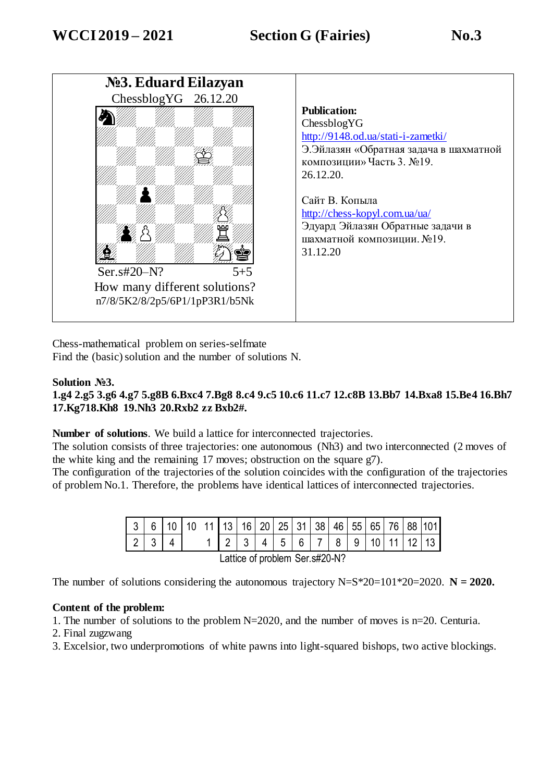

Chess-mathematical problem on series-selfmate Find the (basic) solution and the number of solutions N.

### **Solution №3.**

**1.g4 2.g5 3.g6 4.g7 5.g8B 6.Bxc4 7.Bg8 8.c4 9.c5 10.c6 11.c7 12.c8B 13.Bb7 14.Bxa8 15.Be4 16.Bh7 17.Kg718.Kh8 19.Nh3 20.Rxb2 zz Bxb2#.**

**Number of solutions**. We build a lattice for interconnected trajectories.

The solution consists of three trajectories: one autonomous (Nh3) and two interconnected (2 moves of the white king and the remaining 17 moves; obstruction on the square g7).

The configuration of the trajectories of the solution coincides with the configuration of the trajectories of problem No.1. Therefore, the problems have identical lattices of interconnected trajectories.

| l 3                           |  |  |  |  |                |  |   | 13 16 20 25 31 38 46 |  |                 |   | 55 | 65 <sub>1</sub> | 76 | -88 | 101 |
|-------------------------------|--|--|--|--|----------------|--|---|----------------------|--|-----------------|---|----|-----------------|----|-----|-----|
|                               |  |  |  |  | $\overline{2}$ |  | 4 | 5                    |  | $6 \mid 7 \mid$ | 8 | 9  |                 |    |     |     |
| attico of problem Cor e#20 N2 |  |  |  |  |                |  |   |                      |  |                 |   |    |                 |    |     |     |

Lattice of problem Ser.s#20-N?

The number of solutions considering the autonomous trajectory  $N=S*20=101*20=2020$ .  $N = 2020$ .

#### **Content of the problem:**

1. The number of solutions to the problem N=2020, and the number of moves is n=20. Centuria.

2. Final zugzwang

3. Excelsior, two underpromotions of white pawns into light-squared bishops, two active blockings.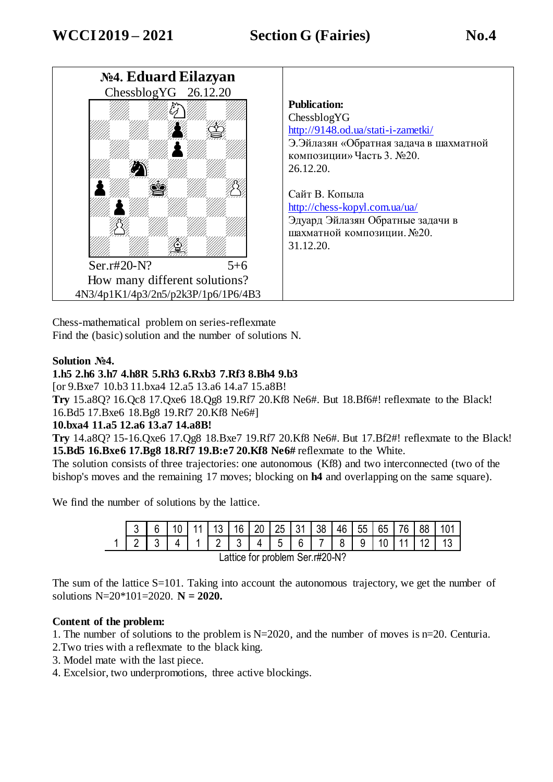

Chess-mathematical problem on series-reflexmate Find the (basic) solution and the number of solutions N.

#### **Solution №4.**

### **1.h5 2.h6 3.h7 4.h8R 5.Rh3 6.Rxb3 7.Rf3 8.Bh4 9.b3**

[or 9.Bxe7 10.b3 11.bxa4 12.a5 13.a6 14.a7 15.a8B!

**Try** 15.a8Q? 16.Qc8 17.Qxe6 18.Qg8 19.Rf7 20.Kf8 Ne6#. But 18.Bf6#! reflexmate to the Black! 16.Bd5 17.Bxe6 18.Bg8 19.Rf7 20.Kf8 Ne6#]

#### **10.bxa4 11.a5 12.a6 13.a7 14.a8B!**

**Try** 14.a8Q? 15-16.Qxe6 17.Qg8 18.Bxe7 19.Rf7 20.Kf8 Ne6#. But 17.Bf2#! reflexmate to the Black! **15.Bd5 16.Bxe6 17.Bg8 18.Rf7 19.B:e7 20.Kf8 Ne6#** reflexmate to the White.

The solution consists of three trajectories: one autonomous (Kf8) and two interconnected (two of the bishop's moves and the remaining 17 moves; blocking on **h4** and overlapping on the same square).

We find the number of solutions by the lattice.

|                                  |                                                           |  | 6   10   11   13   16   20   25   31   38   46   55   65   76   88 |  |  |  |  |  |  |  |  |                |  |  |
|----------------------------------|-----------------------------------------------------------|--|--------------------------------------------------------------------|--|--|--|--|--|--|--|--|----------------|--|--|
|                                  | $\begin{array}{c} \text{1} \text{3} \text{1} \end{array}$ |  | 4 1 2 3 4 5 6 7 8 9                                                |  |  |  |  |  |  |  |  | $10$   11   12 |  |  |
| l attice for problem Ser r#20-N2 |                                                           |  |                                                                    |  |  |  |  |  |  |  |  |                |  |  |

Lattice for problem Ser.r#20-N?

The sum of the lattice S=101. Taking into account the autonomous trajectory, we get the number of solutions  $N=20*101=2020$ .  $N = 2020$ .

#### **Content of the problem:**

1. The number of solutions to the problem is  $N=2020$ , and the number of moves is n=20. Centuria.

- 2.Two tries with a reflexmate to the black king.
- 3. Model mate with the last piece.
- 4. Excelsior, two underpromotions, three active blockings.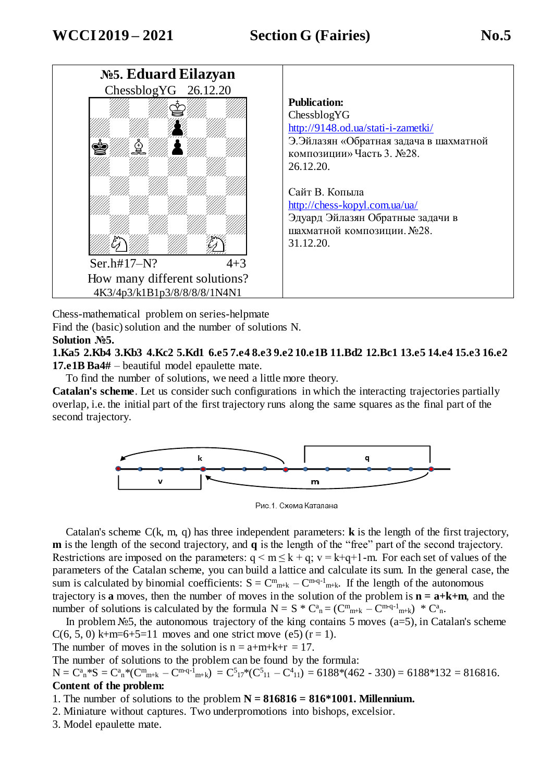

Chess-mathematical problem on series-helpmate

Find the (basic) solution and the number of solutions N.

### **Solution №5.**

**1.Ka5 2.Kb4 3.Kb3 4.Kc2 5.Kd1 6.e5 7.e4 8.e3 9.e2 10.e1B 11.Bd2 12.Bc1 13.e5 14.e4 15.e3 16.e2 17.e1B Ba4#** – beautiful model epaulette mate.

To find the number of solutions, we need a little more theory.

**Catalan's scheme**. Let us consider such configurations in which the interacting trajectories partially overlap, i.e. the initial part of the first trajectory runs along the same squares as the final part of the second trajectory.



Рис. 1. Схема Каталана

Catalan's scheme C(k, m, q) has three independent parameters: **k** is the length of the first trajectory, **m** is the length of the second trajectory, and **q** is the length of the "free" part of the second trajectory. Restrictions are imposed on the parameters:  $q \le m \le k + q$ ;  $v = k+q+1$ -m. For each set of values of the parameters of the Catalan scheme, you can build a lattice and calculate its sum. In the general case, the sum is calculated by binomial coefficients:  $S = C^{m}_{m+k} - C^{m-q-1}_{m+k}$ . If the length of the autonomous trajectory is **a** moves, then the number of moves in the solution of the problem is  $\mathbf{n} = \mathbf{a} + \mathbf{k} + \mathbf{m}$ , and the number of solutions is calculated by the formula  $N = S * C^{a}_{n} = (C^{m}_{m+k} - C^{m+q-1}_{m+k}) * C^{a}_{n}$ .

In problem No.5, the autonomous trajectory of the king contains 5 moves (a=5), in Catalan's scheme  $C(6, 5, 0)$  k+m=6+5=11 moves and one strict move (e5) (r = 1).

The number of moves in the solution is  $n = a+m+k+r = 17$ .

The number of solutions to the problem can be found by the formula:

 $N = C<sup>a</sup>_{n}^{*}S = C<sup>a</sup>_{n}^{*}(C<sup>m</sup>_{m+k} - C<sup>mq-1</sup>_{m+k}) = C<sup>5</sup>_{17}^{*}(C<sup>5</sup>_{11} - C<sup>4</sup>_{11}) = 6188^{*}(462 - 330) = 6188^{*}132 = 816816.$ **Content of the problem:**

1. The number of solutions to the problem  $N = 816816 = 816*1001$ . Millennium.

- 2. Miniature without captures. Two underpromotions into bishops, excelsior.
- 3. Model epaulette mate.